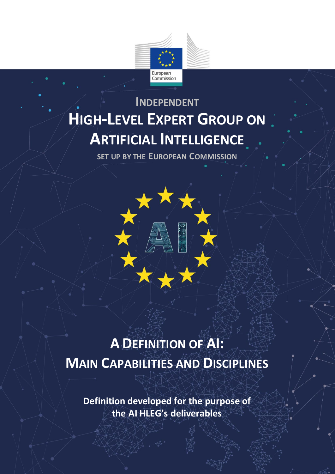

## **INDEPENDENT HIGH-LEVEL EXPERT GROUP ON ARTIFICIAL INTELLIGENCE**

**SET UP BY THE EUROPEAN COMMISSION**



# **A DEFINITION OF AI: MAIN CAPABILITIES AND DISCIPLINES**

**Definition developed for the purpose of the AI HLEG's deliverables**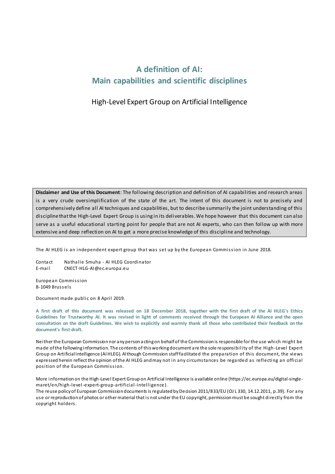### **A definition of AI: Main capabilities and scientific disciplines**

#### High-Level Expert Group on Artificial Intelligence

**Disclaimer and Use of this Document**: The following description and definition of AI capabilities and research areas is a very crude oversimplification of the state of the art. The intent of this document is not to precisely and comprehensively define all AI techniques and capabilities, but to describe summarily the joint understanding of this discipline that the High-Level Expert Group is using in its deliverables. We hope however that this document can also serve as a useful educational starting point for people that are not AI experts, who can then follow up with more extensive and deep reflection on AI to get a more precise knowledge of this discipline and technology.

The AI HLEG is an independent expert group that was set up by the European Commission in June 2018.

Contact Nathalie Smuha - AI HLEG Coordinator E-mail CNECT-HLG-AI@ec.europa.eu

European Commission B-1049 Brussels

Document made public on 8 April 2019.

**A first draft of this document was released on 18 December 2018, together with the first draft of the AI HLEG's Ethics Guidelines for Trustworthy AI. It was revised in light of comments received through the European AI Alliance and the open consultation on the draft Guidelines. We wish to explicitly and warmly thank all those who contributed their feedback on the document's first draft.**

Neither the European Commission nor any person acting on behalf of the Commission is responsible for the use which might be made of the following information. The contents of this working document are the sole responsibility of the High-Level Expert Group on Artificial Intelligence (AI HLEG). Although Commission stafffacilitated the preparation of this document, the views expressed herein reflect the opinion of the AI HLEG and may not in any circumstances be regarded as reflecting an official position of the European Commission.

More information on the High-Level Expert Group on Artificial Intelligence is available online (https://ec.europa.eu/digital-singlemaret/en/high-level-expert-group-artificial-intelligence).

The reuse policy of European Commission documents is regulated by Decision 2011/833/EU (OJ L 330, 14.12.2011, p.39). For any use or reproduction of photos or other material that is not under the EU copyright, permission must be sought directly from the copyright holders.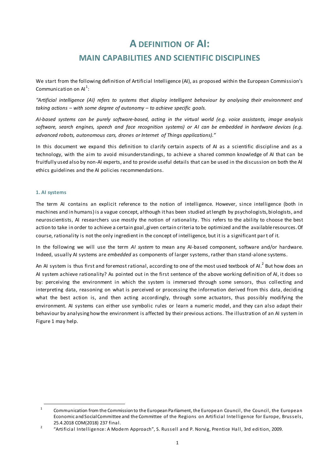### **A DEFINITION OF AI: MAIN CAPABILITIES AND SCIENTIFIC DISCIPLINES**

We start from the following definition of Artificial Intelligence (AI), as proposed within the European Commission's Communication on  $Al^1$ :

*"Artificial intelligence (AI) refers to systems that display intelligent behaviour by analysing their environment and taking actions – with some degree of autonomy – to achieve specific goals.*

*AI-based systems can be purely software-based, acting in the virtual world (e.g. voice assistants, image analysis software, search engines, speech and face recognition systems) or AI can be embedded in hardware devices (e.g. advanced robots, autonomous cars, drones or Internet of Things applications)."*

In this document we expand this definition to clarify certain aspects of AI as a scientific discipline and as a technology, with the aim to avoid misunderstandings, to achieve a shared common knowledge of AI that can be fruitfully used also by non-AI experts, and to provide useful details that can be used in the discussion on both the AI ethics guidelines and the AI policies recommendations.

#### **1. AI systems**

 $\overline{a}$ 

The term AI contains an explicit reference to the notion of intelligence. However, since intelligence (both in machines and in humans) is a vague concept, although it has been studied at length by psychologists, biologists, and neuroscientists, AI researchers use mostly the notion of rationality. This refers to the ability to choose the best action to take in order to achieve a certain goal , given certain criteria to be optimized and the available resources. Of course, rationality is not the only ingredient in the concept of intelligence, but it is a significant part of it.

In the following we will use the term *AI system* to mean any AI-based component, software and/or hardware. Indeed, usually AI systems are *embedded* as components of larger systems, rather than stand-alone systems.

An AI system is thus first and foremost rational, according to one of the most used textbook of AI. $^2$  But how does an AI system achieve rationality? As pointed out in the first sentence of the above working definition of AI, it does so by: perceiving the environment in which the system is immersed through some sensors, thus collecting and interpreting data, reasoning on what is perceived or processing the information derived from this data, deciding what the best action is, and then acting accordingly, through some actuators, thus possibly modifying the environment. AI systems can either use symbolic rules or learn a numeric model, and they can also adapt their behaviour by analysing how the environment is affected by their previous actions. The illustration of an AI system in Figure 1 may help.

<sup>1</sup> Communication from the Commission to the European Parliament, the European Council, the Council, the European Economic and Social Committee and the Committee of the Regions on Artificial Intelligence for Europe, Brussels, 25.4.2018 COM(2018) 237 final.

<sup>2</sup> "Artificial Intelligence: A Modern Approach", S. Russell and P. Norvig, Prentice Hall, 3rd edition, 2009.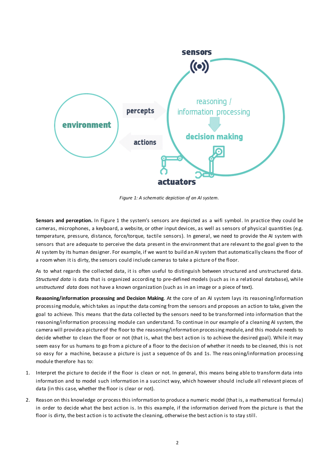

*Figure 1: A schematic depiction of an AI system.*

**Sensors and perception.** In Figure 1 the system's sensors are depicted as a wifi symbol. In practice they could be cameras, microphones, a keyboard, a website, or other input devices, as well as sensors of physical quantities (e.g. temperature, pressure, distance, force/torque, tactile sensors). In general, we need to provide the AI system with sensors that are adequate to perceive the data present in the environment that are relevant to the goal given to the AI system by its human designer. For example, if we want to build an AI system that automatically cleans the floor of a room when it is dirty, the sensors could include cameras to take a picture of the floor.

As to what regards the collected data, it is often useful to distinguish between structured and unstructured data. *Structured data* is data that is organized according to pre-defined models (such as in a relational database), while *unstructured data* does not have a known organization (such as in an image or a piece of text).

**Reasoning/information processing and Decision Making**. At the core of an AI system lays its reasoning/information processingmodule, which takes as input the data coming from the sensors and proposes an action to take, given the goal to achieve. This means that the data collected by the sensors need to be transformed into information that the reasoning/information processing module can understand. To continue in our example of a cleaning AI system, the camera will provide a picture of the floor to the reasoning/information processing module, and this module needs to decide whether to clean the floor or not (that is, what the best action is to achieve the desired goal). While it may seem easy for us humans to go from a picture of a floor to the decision of whether it needs to be cleaned, this is not so easy for a machine, because a picture is just a sequence of 0s and 1s. The reas oning/information processing module therefore has to:

- 1. Interpret the picture to decide if the floor is clean or not. In general, this means being able to transform data into information and to model such information in a succinct way, which however should include all relevant pieces of data (in this case, whether the floor is clear or not).
- 2. Reason on this knowledge or process this information to produce a numeric model (that is, a mathematical formula) in order to decide what the best action is. In this example, if the information derived from the picture is that the floor is dirty, the best action is to activate the cleaning, otherwise the best action is to stay still.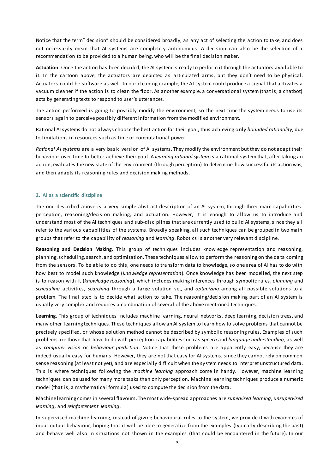Notice that the term" decision" should be considered broadly, as any act of selecting the action to take, and does not necessarily mean that AI systems are completely autonomous. A decision can also be the selection of a recommendation to be provided to a human being, who will be the final decision maker.

**Actuation**. Once the action has been decided, the AI system is ready to perform it through the actuators available to it. In the cartoon above, the actuators are depicted as articulated arms, but they don't need to be physical. Actuators could be software as well. In our cleaning example, the AI system could produce a signal that activates a vacuum cleaner if the action is to clean the floor. As another example, a conversational system (that is, a chatbot) acts by generating texts to respond to user's utterances.

The action performed is going to possibly modify the environment, so the next time the system needs to use its sensors again to perceive possibly different information from the modified environment.

Rational AI systems do not always choose the best action for their goal, thus achieving only *bounded rationality*, due to limitations in resources such as time or computational power.

*Rational AI systems* are a very basic version of AI systems. They modify the environment but they do not adapt their behaviour over time to better achieve their goal. A *learning rational system* is a rational system that, after taking an action, evaluates the new state of the environment (through perception) to determine how successful its action was, and then adapts its reasoning rules and decision making methods.

#### **2. AI as a scientific discipline**

The one described above is a very simple abstract description of an AI system, through three main capabilities: perception, reasoning/decision making, and actuation. However, it is enough to allow us to introduce and understand most of the AI techniques and sub-disciplines that are currently used to build AI systems, since they all refer to the various capabilities of the systems. Broadly speaking, all such techniques can be grouped in two main groups that refer to the capability of *reasoning* and *learning*. Robotics is another very relevant discipline.

**Reasoning and Decision Making.** This group of techniques includes knowledge representation and reasoning, planning, scheduling, search, and optimization. These techniques allow to perform the reasoning on the da ta coming from the sensors. To be able to do this, one needs to transform data to knowledge, so one area of AI has to do with how best to model such knowledge (*knowledge representation*). Once knowledge has been modelled, the next step is to reason with it (*knowledge reasoning*), which includes making inferences through symbolic rules, *planning* and *scheduling* activities, *searching* through a large solution set, and *optimizing* among all possible solutions to a problem. The final step is to decide what action to take. The reasoning/decision making part of an AI system is usually very complex and requires a combination of several of the above mentioned techniques.

**Learning.** This group of techniques includes machine learning, neural networks, deep learning, decision trees, and many other learning techniques. These techniques allow an AI system to learn how to solve problems that cannot be precisely specified, or whose solution method cannot be described by symbolic reasoning rules. Examples of such problems are those that have to do with perception capabilities such as *speech* and *language understanding*, as well as *computer vision* or *behaviour prediction*. Notice that these problems are apparently easy, because they are indeed usually easy for humans. However, they are not that easy for AI systems, since they cannot rely on common sense reasoning (at least not yet), and are especially difficult when the system needs to interpret unstructured data. This is where techniques following the *machine learning* approach come in handy. However, machine learning techniques can be used for many more tasks than only perception. Machine learning techniques produce a numeric model (that is, a mathematical formula) used to compute the decision from the data.

Machine learning comes in several flavours. The most wide-spread approaches are *supervised learning*, *unsupervised learning*, and *reinforcement learning*.

In supervised machine learning, instead of giving behavioural rules to the system, we provide it with examples of input-output behaviour, hoping that it will be able to generalize from the examples (typically describing the past) and behave well also in situations not shown in the examples (that could be encountered in the future). In our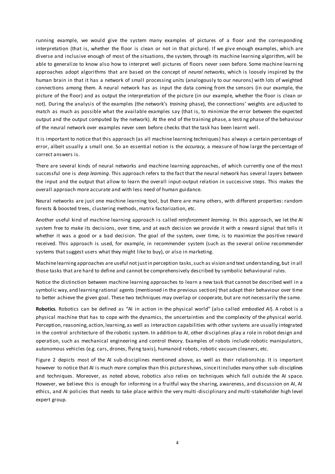running example, we would give the system many examples of pictures of a floor and the corresponding interpretation (that is, whether the floor is clean or not in that picture). If we give enough examples, which are diverse and inclusive enough of most of the situations, the system, through its machine learning algorithm, will be able to generalize to know also how to interpret well pictures of floors never seen before. Some machine learni ng approaches adopt algorithms that are based on the concept of *neural networks*, which is loosely inspired by the human brain in that it has a network of small processing units (analogously to our neurons) with lots of weighted connections among them. A neural network has as input the data coming from the sensors (in our example, the picture of the floor) and as output the interpretation of the picture (in our example, whether the floor is clean or not). During the analysis of the examples (the network's *training* phase), the connections' weights are adjusted to match as much as possible what the available examples say (that is, to minimize the error between the expected output and the output computed by the network). At the end of the training phase, a testi ng phase of the behaviour of the neural network over examples never seen before checks that the task has been learnt well.

It is important to notice that this approach (as all machine learning techniques) has always a certain percentage of error, albeit usually a small one. So an essential notion is the *accuracy,* a measure of how large the percentage of correct answers is.

There are several kinds of neural networks and machine learning approaches, of which currently one of the most successful one is *deep learning*. This approach refers to the fact that the neural network has several layers between the input and the output that allow to learn the overall input-output relation in successive steps. This makes the overall approach more accurate and with less need of human guidance.

Neural networks are just one machine learning tool, but there are many others, with different properties: random forests & boosted trees, clustering methods, matrix factorization, etc.

Another useful kind of machine learning approach is called *reinforcement learning*. In this approach, we let the AI system free to make its decisions, over time, and at each decision we provide it with a reward signal that tells it whether it was a good or a bad decision. The goal of the system, over time, is to maximize the positive reward received. This approach is used, for example, in recommender system (such as the several online recommender systems that suggest users what they might like to buy), or also in marketing.

Machine learning approaches are useful not just in perception tasks, such as vision and text understanding, but in all those tasks that are hard to define and cannot be comprehensively described by symbolic behavioural rules.

Notice the distinction between machine learning approaches to learn a new task that cannot be described well in a symbolic way, and learning rational agents (mentioned in the previous section) that adapt their behaviour over time to better achieve the given goal. These two techniques may overlap or cooperate, but are not necessarily the same.

**Robotics**. Robotics can be defined as "AI in action in the physical world" (also called *embodied AI*). A robot is a physical machine that has to cope with the dynamics, the uncertainties and the complexity of the physical world. Perception, reasoning, action, learning, as well as interaction capabilities with other systems are usually integrated in the control architecture of the robotic system. In addition to AI, other disciplines play a role in robot design and operation, such as mechanical engineering and control theory. Examples of robots include robotic manipulators, autonomous vehicles (e.g. cars, drones, flying taxis), humanoid robots, robotic vacuum cleaners, etc.

Figure 2 depicts most of the AI sub-disciplines mentioned above, as well as their relationship. It is important however to notice that AI is much more complex than this picture shows, since it includes many other sub -disciplines and techniques. Moreover, as noted above, robotics also relies on techniques which fall outside the AI space. However, we believe this is enough for informing in a fruitful way the sharing, awareness, and discussion on AI, AI ethics, and AI policies that needs to take place within the very multi -disciplinary and multi-stakeholder high level expert group.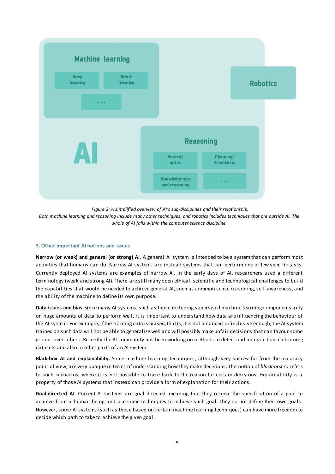

*Figure 2: A simplified overview of AI's sub-disciplines and their relationship.*

*Both machine learning and reasoning include many other techniques, and robotics includes techniques that are outside AI. The whole of AI falls within the computer science discipline.*

#### **3. Other important AI notions and issues**

**Narrow (or weak) and general (or strong) AI**. A general AI system is intended to be a system that can perform most activities that humans can do. Narrow AI systems are instead systems that can perform one or few specific tasks. Currently deployed AI systems are examples of narrow AI. In the early days of AI, researchers used a different terminology (weak and strong AI). There are still many open ethical, scientific and technological challenges to build the capabilities that would be needed to achieve general AI, such as common sense reasoning, self-awareness, and the ability of the machine to define its own purpose.

**Data issues and bias**. Since many AI systems, such as those including supervised machine learning components, rely on huge amounts of data to perform well, it is important to understand how data are influencing the behaviour of the AI system. For example, if the training data is biased, that is, it is not balanced or inclusive enough, the AI system trained on such data will not be able to generalize well and will possibly make unfair decisions that can favour some groups over others. Recently the AI community has been working on methods to detect and mitigate bias i n training datasets and also in other parts of an AI system.

**Black-box AI and explainability.** Some machine learning techniques, although very successful from the accuracy point of view, are very opaque in terms of understanding how they make decisions. The notion of *black-box AI* refers to such scenarios, where it is not possible to trace back to the reason for certain decisions. Explainability is a property of those AI systems that instead can provide a form of explanation for their actions.

**Goal-directed AI**. Current AI systems are goal-directed, meaning that they receive the specification of a goal to achieve from a human being and use some techniques to achieve such goal. They do not define their own goals. However, some AI systems (such as those based on certain machine learning techniques) can have more freedom to decide which path to take to achieve the given goal.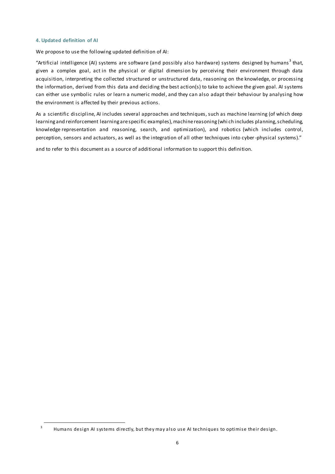#### **4. Updated definition of AI**

 $\overline{a}$ 

We propose to use the following updated definition of AI:

"Artificial intelligence (AI) systems are software (and possibly also hardware) systems designed by humans $^3$  that, given a complex goal, act in the physical or digital dimension by perceiving their environment through data acquisition, interpreting the collected structured or unstructured data, reasoning on the knowledge, or processing the information, derived from this data and deciding the best action(s) to take to achieve the given goal. AI systems can either use symbolic rules or learn a numeric model, and they can also adapt their behaviour by analysing how the environment is affected by their previous actions.

As a scientific discipline, AI includes several approaches and techniques, such as machine learning (of which deep learning and reinforcement learning are specific examples), machine reasoning (whi ch includes planning, scheduling, knowledge representation and reasoning, search, and optimization), and robotics (which includes control, perception, sensors and actuators, as well as the integration of all other techniques into cyber-physical systems)."

and to refer to this document as a source of additional information to support this definition.

<sup>3</sup> Humans design AI systems directly, but they may also use AI techniques to optimise their design.